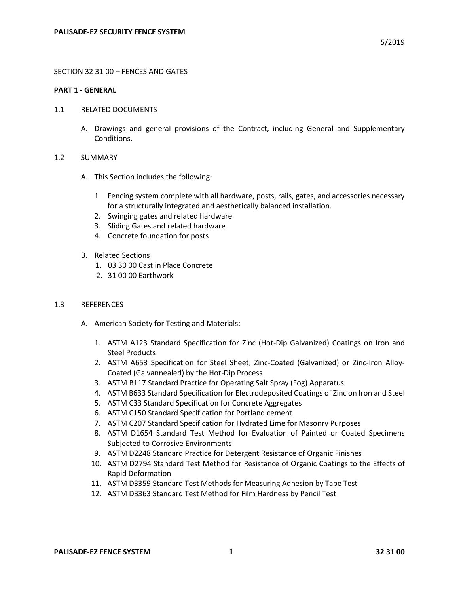## SECTION 32 31 00 – FENCES AND GATES

### **PART 1 - GENERAL**

- 1.1 RELATED DOCUMENTS
	- A. Drawings and general provisions of the Contract, including General and Supplementary Conditions.

## 1.2 SUMMARY

- A. This Section includes the following:
	- 1 Fencing system complete with all hardware, posts, rails, gates, and accessories necessary for a structurally integrated and aesthetically balanced installation.
	- 2. Swinging gates and related hardware
	- 3. Sliding Gates and related hardware
	- 4. Concrete foundation for posts
- B. Related Sections
	- 1. 03 30 00 Cast in Place Concrete
	- 2. 31 00 00 Earthwork

#### 1.3 REFERENCES

- A. American Society for Testing and Materials:
	- 1. ASTM A123 Standard Specification for Zinc (Hot-Dip Galvanized) Coatings on Iron and Steel Products
	- 2. ASTM A653 Specification for Steel Sheet, Zinc-Coated (Galvanized) or Zinc-Iron Alloy-Coated (Galvannealed) by the Hot-Dip Process
	- 3. ASTM B117 Standard Practice for Operating Salt Spray (Fog) Apparatus
	- 4. ASTM B633 Standard Specification for Electrodeposited Coatings of Zinc on Iron and Steel
	- 5. ASTM C33 Standard Specification for Concrete Aggregates
	- 6. ASTM C150 Standard Specification for Portland cement
	- 7. ASTM C207 Standard Specification for Hydrated Lime for Masonry Purposes
	- 8. ASTM D1654 Standard Test Method for Evaluation of Painted or Coated Specimens Subjected to Corrosive Environments
	- 9. ASTM D2248 Standard Practice for Detergent Resistance of Organic Finishes
	- 10. ASTM D2794 Standard Test Method for Resistance of Organic Coatings to the Effects of Rapid Deformation
	- 11. ASTM D3359 Standard Test Methods for Measuring Adhesion by Tape Test
	- 12. ASTM D3363 Standard Test Method for Film Hardness by Pencil Test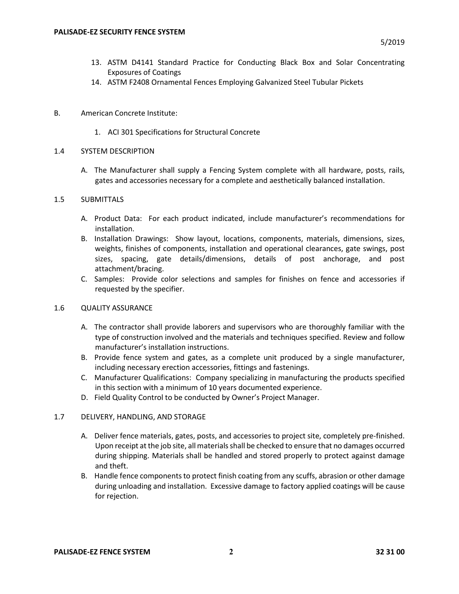- 13. ASTM D4141 Standard Practice for Conducting Black Box and Solar Concentrating Exposures of Coatings
- 14. ASTM F2408 Ornamental Fences Employing Galvanized Steel Tubular Pickets
- B. American Concrete Institute:
	- 1. ACI 301 Specifications for Structural Concrete

# 1.4 SYSTEM DESCRIPTION

A. The Manufacturer shall supply a Fencing System complete with all hardware, posts, rails, gates and accessories necessary for a complete and aesthetically balanced installation.

# 1.5 SUBMITTALS

- A. Product Data: For each product indicated, include manufacturer's recommendations for installation.
- B. Installation Drawings: Show layout, locations, components, materials, dimensions, sizes, weights, finishes of components, installation and operational clearances, gate swings, post sizes, spacing, gate details/dimensions, details of post anchorage, and post attachment/bracing.
- C. Samples: Provide color selections and samples for finishes on fence and accessories if requested by the specifier.

# 1.6 QUALITY ASSURANCE

- A. The contractor shall provide laborers and supervisors who are thoroughly familiar with the type of construction involved and the materials and techniques specified. Review and follow manufacturer's installation instructions.
- B. Provide fence system and gates, as a complete unit produced by a single manufacturer, including necessary erection accessories, fittings and fastenings.
- C. Manufacturer Qualifications: Company specializing in manufacturing the products specified in this section with a minimum of 10 years documented experience.
- D. Field Quality Control to be conducted by Owner's Project Manager.

# 1.7 DELIVERY, HANDLING, AND STORAGE

- A. Deliver fence materials, gates, posts, and accessories to project site, completely pre-finished. Upon receipt at the job site, all materials shall be checked to ensure that no damages occurred during shipping. Materials shall be handled and stored properly to protect against damage and theft.
- B. Handle fence components to protect finish coating from any scuffs, abrasion or other damage during unloading and installation. Excessive damage to factory applied coatings will be cause for rejection.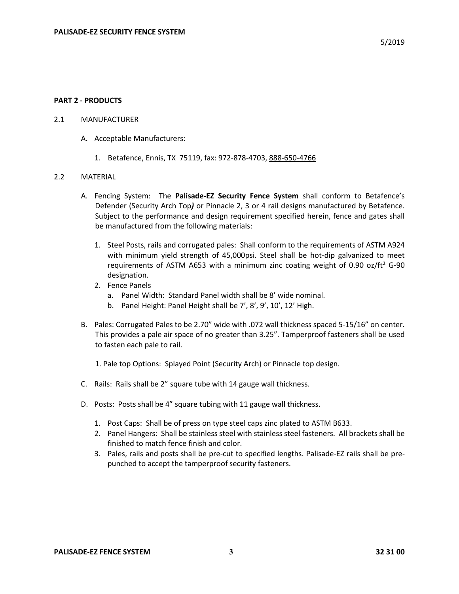#### **PART 2 - PRODUCTS**

### 2.1 MANUFACTURER

- A. Acceptable Manufacturers:
	- 1. Betafence, Ennis, TX 75119, fax: 972-878-4703, 888-650-4766

#### 2.2 MATERIAL

- A. Fencing System: The **Palisade-EZ Security Fence System** shall conform to Betafence's Defender (Security Arch Top*)* or Pinnacle 2, 3 or 4 rail designs manufactured by Betafence. Subject to the performance and design requirement specified herein, fence and gates shall be manufactured from the following materials:
	- 1. Steel Posts, rails and corrugated pales: Shall conform to the requirements of ASTM A924 with minimum yield strength of 45,000psi. Steel shall be hot-dip galvanized to meet requirements of ASTM A653 with a minimum zinc coating weight of 0.90 oz/ft² G-90 designation.
	- 2. Fence Panels
		- a. Panel Width: Standard Panel width shall be 8' wide nominal.
		- b. Panel Height: Panel Height shall be 7', 8', 9', 10', 12' High.
- B. Pales: Corrugated Pales to be 2.70" wide with .072 wall thickness spaced 5-15/16" on center. This provides a pale air space of no greater than 3.25". Tamperproof fasteners shall be used to fasten each pale to rail.
	- 1. Pale top Options: Splayed Point (Security Arch) or Pinnacle top design.
- C. Rails: Rails shall be 2" square tube with 14 gauge wall thickness.
- D. Posts: Posts shall be 4" square tubing with 11 gauge wall thickness.
	- 1. Post Caps: Shall be of press on type steel caps zinc plated to ASTM B633.
	- 2. Panel Hangers: Shall be stainless steel with stainless steel fasteners. All brackets shall be finished to match fence finish and color.
	- 3. Pales, rails and posts shall be pre-cut to specified lengths. Palisade-EZ rails shall be prepunched to accept the tamperproof security fasteners.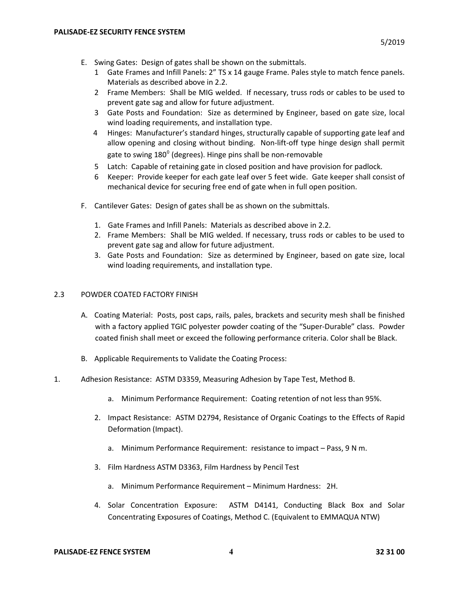- E. Swing Gates: Design of gates shall be shown on the submittals.
	- 1 Gate Frames and Infill Panels: 2" TS x 14 gauge Frame. Pales style to match fence panels. Materials as described above in 2.2.
	- 2 Frame Members: Shall be MIG welded. If necessary, truss rods or cables to be used to prevent gate sag and allow for future adjustment.
	- 3 Gate Posts and Foundation: Size as determined by Engineer, based on gate size, local wind loading requirements, and installation type.
	- 4 Hinges: Manufacturer's standard hinges, structurally capable of supporting gate leaf and allow opening and closing without binding. Non-lift-off type hinge design shall permit gate to swing 180<sup>°</sup> (degrees). Hinge pins shall be non-removable
	- 5 Latch: Capable of retaining gate in closed position and have provision for padlock.
	- 6 Keeper: Provide keeper for each gate leaf over 5 feet wide. Gate keeper shall consist of mechanical device for securing free end of gate when in full open position.
- F. Cantilever Gates: Design of gates shall be as shown on the submittals.
	- 1. Gate Frames and Infill Panels: Materials as described above in 2.2.
	- 2. Frame Members: Shall be MIG welded. If necessary, truss rods or cables to be used to prevent gate sag and allow for future adjustment.
	- 3. Gate Posts and Foundation: Size as determined by Engineer, based on gate size, local wind loading requirements, and installation type.

# 2.3 POWDER COATED FACTORY FINISH

- A. Coating Material: Posts, post caps, rails, pales, brackets and security mesh shall be finished with a factory applied TGIC polyester powder coating of the "Super-Durable" class. Powder coated finish shall meet or exceed the following performance criteria. Color shall be Black.
- B. Applicable Requirements to Validate the Coating Process:
- 1. Adhesion Resistance: ASTM D3359, Measuring Adhesion by Tape Test, Method B.
	- a. Minimum Performance Requirement: Coating retention of not less than 95%.
	- 2. Impact Resistance: ASTM D2794, Resistance of Organic Coatings to the Effects of Rapid Deformation (Impact).
		- a. Minimum Performance Requirement: resistance to impact Pass, 9 N m.
	- 3. Film Hardness ASTM D3363, Film Hardness by Pencil Test
		- a. Minimum Performance Requirement Minimum Hardness: 2H.
	- 4. Solar Concentration Exposure: ASTM D4141, Conducting Black Box and Solar Concentrating Exposures of Coatings, Method C. (Equivalent to EMMAQUA NTW)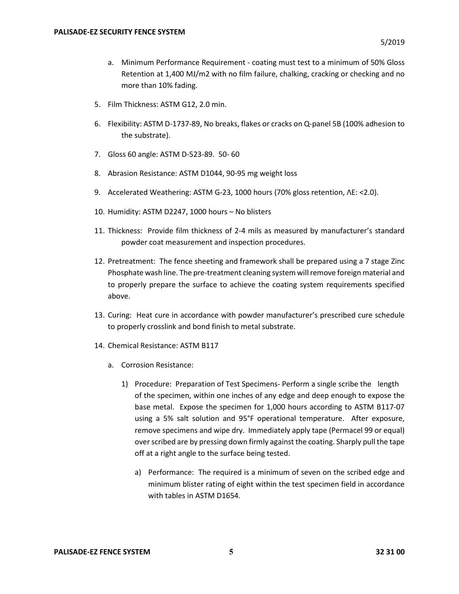- a. Minimum Performance Requirement coating must test to a minimum of 50% Gloss Retention at 1,400 MJ/m2 with no film failure, chalking, cracking or checking and no more than 10% fading.
- 5. Film Thickness: ASTM G12, 2.0 min.
- 6. Flexibility: ASTM D-1737-89, No breaks, flakes or cracks on Q-panel 5B (100% adhesion to the substrate).
- 7. Gloss 60 angle: ASTM D-523-89. 50- 60
- 8. Abrasion Resistance: ASTM D1044, 90-95 mg weight loss
- 9. Accelerated Weathering: ASTM G-23, 1000 hours (70% gloss retention,  $\Delta E = 2.0$ ).
- 10. Humidity: ASTM D2247, 1000 hours No blisters
- 11. Thickness: Provide film thickness of 2-4 mils as measured by manufacturer's standard powder coat measurement and inspection procedures.
- 12. Pretreatment: The fence sheeting and framework shall be prepared using a 7 stage Zinc Phosphate wash line. The pre-treatment cleaning system will remove foreign material and to properly prepare the surface to achieve the coating system requirements specified above.
- 13. Curing: Heat cure in accordance with powder manufacturer's prescribed cure schedule to properly crosslink and bond finish to metal substrate.
- 14. Chemical Resistance: ASTM B117
	- a. Corrosion Resistance:
		- 1) Procedure: Preparation of Test Specimens- Perform a single scribe the length of the specimen, within one inches of any edge and deep enough to expose the base metal. Expose the specimen for 1,000 hours according to ASTM B117-07 using a 5% salt solution and 95°F operational temperature. After exposure, remove specimens and wipe dry. Immediately apply tape (Permacel 99 or equal) over scribed are by pressing down firmly against the coating. Sharply pull the tape off at a right angle to the surface being tested.
			- a) Performance: The required is a minimum of seven on the scribed edge and minimum blister rating of eight within the test specimen field in accordance with tables in ASTM D1654.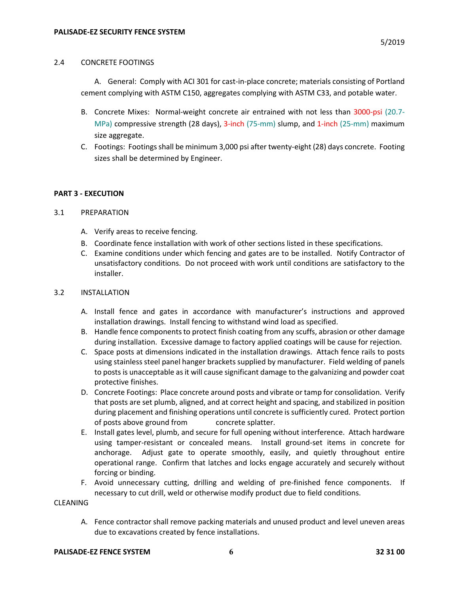## 2.4 CONCRETE FOOTINGS

A. General: Comply with ACI 301 for cast-in-place concrete; materials consisting of Portland cement complying with ASTM C150, aggregates complying with ASTM C33, and potable water.

- B. Concrete Mixes: Normal-weight concrete air entrained with not less than 3000-psi (20.7- MPa) compressive strength (28 days), 3-inch (75-mm) slump, and 1-inch (25-mm) maximum size aggregate.
- C. Footings: Footings shall be minimum 3,000 psi after twenty-eight (28) days concrete. Footing sizes shall be determined by Engineer.

## **PART 3 - EXECUTION**

## 3.1 PREPARATION

- A. Verify areas to receive fencing.
- B. Coordinate fence installation with work of other sections listed in these specifications.
- C. Examine conditions under which fencing and gates are to be installed. Notify Contractor of unsatisfactory conditions. Do not proceed with work until conditions are satisfactory to the installer.

# 3.2 INSTALLATION

- A. Install fence and gates in accordance with manufacturer's instructions and approved installation drawings. Install fencing to withstand wind load as specified.
- B. Handle fence components to protect finish coating from any scuffs, abrasion or other damage during installation. Excessive damage to factory applied coatings will be cause for rejection.
- C. Space posts at dimensions indicated in the installation drawings. Attach fence rails to posts using stainless steel panel hanger brackets supplied by manufacturer. Field welding of panels to posts is unacceptable as it will cause significant damage to the galvanizing and powder coat protective finishes.
- D. Concrete Footings: Place concrete around posts and vibrate or tamp for consolidation. Verify that posts are set plumb, aligned, and at correct height and spacing, and stabilized in position during placement and finishing operations until concrete is sufficiently cured. Protect portion of posts above ground from concrete splatter.
- E. Install gates level, plumb, and secure for full opening without interference. Attach hardware using tamper-resistant or concealed means. Install ground-set items in concrete for anchorage. Adjust gate to operate smoothly, easily, and quietly throughout entire operational range. Confirm that latches and locks engage accurately and securely without forcing or binding.
- F. Avoid unnecessary cutting, drilling and welding of pre-finished fence components. If necessary to cut drill, weld or otherwise modify product due to field conditions.

## CLEANING

A. Fence contractor shall remove packing materials and unused product and level uneven areas due to excavations created by fence installations.